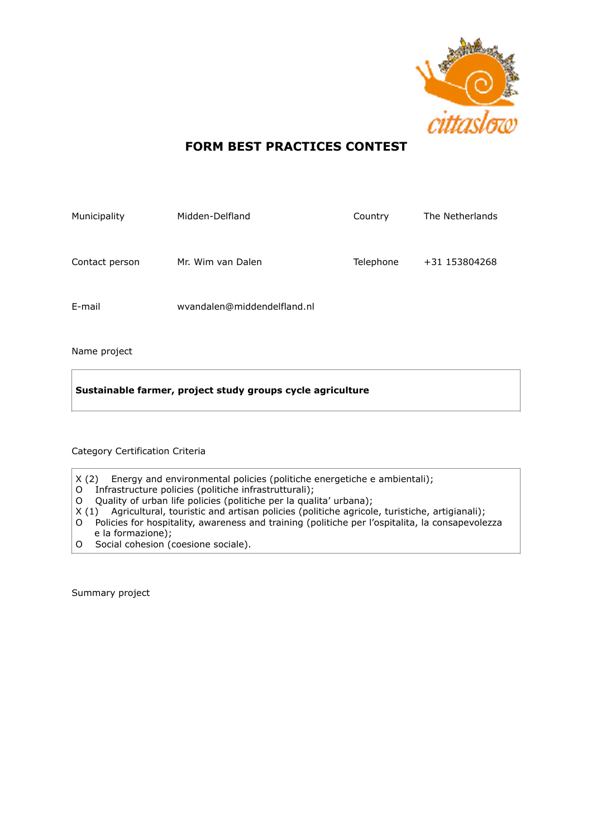

# **FORM BEST PRACTICES CONTEST**

| Municipality   | Midden-Delfland             | Country   | The Netherlands |
|----------------|-----------------------------|-----------|-----------------|
| Contact person | Mr. Wim van Dalen           | Telephone | +31 153804268   |
| E-mail         | wvandalen@middendelfland.nl |           |                 |

Name project

**Sustainable farmer, project study groups cycle agriculture**

## Category Certification Criteria

- X (2) Energy and environmental policies (politiche energetiche e ambientali);
- O Infrastructure policies (politiche infrastrutturali);
- O Quality of urban life policies (politiche per la qualita' urbana);
- X (1) Agricultural, touristic and artisan policies (politiche agricole, turistiche, artigianali);
- O Policies for hospitality, awareness and training (politiche per l'ospitalita, la consapevolezza e la formazione);
- O Social cohesion (coesione sociale).

Summary project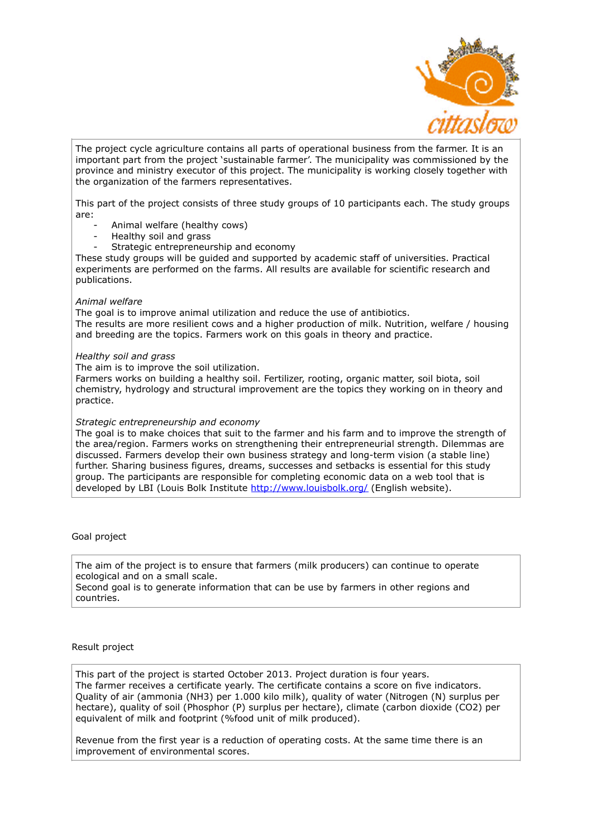

The project cycle agriculture contains all parts of operational business from the farmer. It is an important part from the project 'sustainable farmer'. The municipality was commissioned by the province and ministry executor of this project. The municipality is working closely together with the organization of the farmers representatives.

This part of the project consists of three study groups of 10 participants each. The study groups are:

- Animal welfare (healthy cows)
- Healthy soil and grass
- Strategic entrepreneurship and economy

These study groups will be guided and supported by academic staff of universities. Practical experiments are performed on the farms. All results are available for scientific research and publications.

#### *Animal welfare*

The goal is to improve animal utilization and reduce the use of antibiotics. The results are more resilient cows and a higher production of milk. Nutrition, welfare / housing and breeding are the topics. Farmers work on this goals in theory and practice.

#### *Healthy soil and grass*

The aim is to improve the soil utilization.

Farmers works on building a healthy soil. Fertilizer, rooting, organic matter, soil biota, soil chemistry, hydrology and structural improvement are the topics they working on in theory and practice.

### *Strategic entrepreneurship and economy*

The goal is to make choices that suit to the farmer and his farm and to improve the strength of the area/region. Farmers works on strengthening their entrepreneurial strength. Dilemmas are discussed. Farmers develop their own business strategy and long-term vision (a stable line) further. Sharing business figures, dreams, successes and setbacks is essential for this study group. The participants are responsible for completing economic data on a web tool that is developed by LBI (Louis Bolk Institute <http://www.louisbolk.org/>(English website).

Goal project

The aim of the project is to ensure that farmers (milk producers) can continue to operate ecological and on a small scale.

Second goal is to generate information that can be use by farmers in other regions and countries.

#### Result project

This part of the project is started October 2013. Project duration is four years. The farmer receives a certificate yearly. The certificate contains a score on five indicators. Quality of air (ammonia (NH3) per 1.000 kilo milk), quality of water (Nitrogen (N) surplus per hectare), quality of soil (Phosphor (P) surplus per hectare), climate (carbon dioxide (CO2) per equivalent of milk and footprint (%food unit of milk produced).

Revenue from the first year is a reduction of operating costs. At the same time there is an improvement of environmental scores.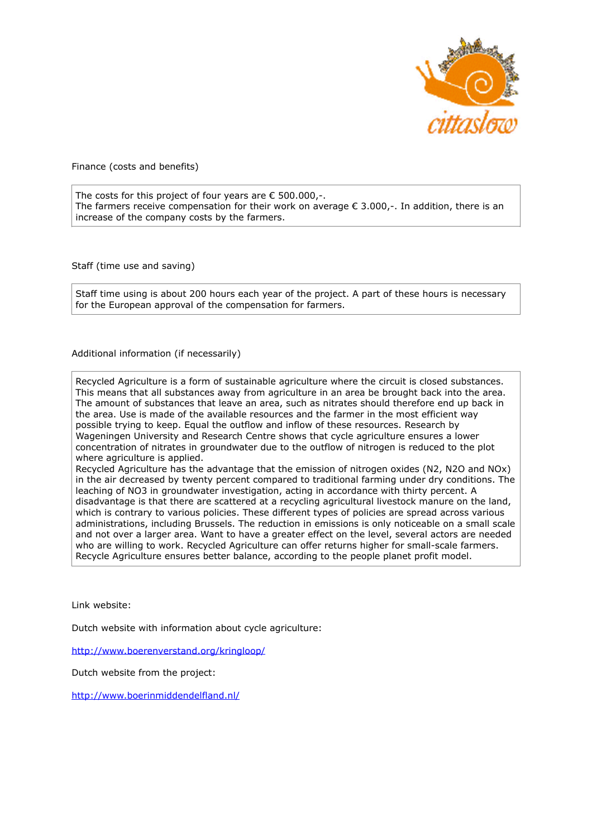

Finance (costs and benefits)

The costs for this project of four years are  $\epsilon$  500.000,-. The farmers receive compensation for their work on average  $\epsilon$  3.000,-. In addition, there is an increase of the company costs by the farmers.

Staff (time use and saving)

Staff time using is about 200 hours each year of the project. A part of these hours is necessary for the European approval of the compensation for farmers.

Additional information (if necessarily)

Recycled Agriculture is a form of sustainable agriculture where the circuit is closed substances. This means that all substances away from agriculture in an area be brought back into the area. The amount of substances that leave an area, such as nitrates should therefore end up back in the area. Use is made of the available resources and the farmer in the most efficient way possible trying to keep. Equal the outflow and inflow of these resources. Research by Wageningen University and Research Centre shows that cycle agriculture ensures a lower concentration of nitrates in groundwater due to the outflow of nitrogen is reduced to the plot where agriculture is applied.

Recycled Agriculture has the advantage that the emission of nitrogen oxides (N2, N2O and NOx) in the air decreased by twenty percent compared to traditional farming under dry conditions. The leaching of NO3 in groundwater investigation, acting in accordance with thirty percent. A disadvantage is that there are scattered at a recycling agricultural livestock manure on the land, which is contrary to various policies. These different types of policies are spread across various administrations, including Brussels. The reduction in emissions is only noticeable on a small scale and not over a larger area. Want to have a greater effect on the level, several actors are needed who are willing to work. Recycled Agriculture can offer returns higher for small-scale farmers. Recycle Agriculture ensures better balance, according to the people planet profit model.

Link website:

Dutch website with information about cycle agriculture:

<http://www.boerenverstand.org/kringloop/>

Dutch website from the project:

<http://www.boerinmiddendelfland.nl/>